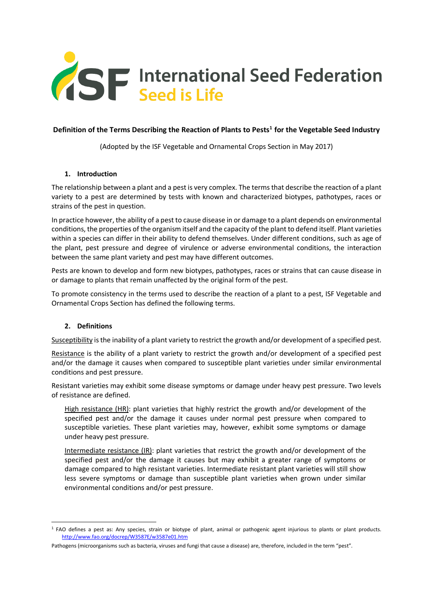

## **Definition of the Terms Describing the Reaction of Plants to Pests<sup>1</sup> for the Vegetable Seed Industry**

(Adopted by the ISF Vegetable and Ornamental Crops Section in May 2017)

## **1. Introduction**

The relationship between a plant and a pest is very complex. The terms that describe the reaction of a plant variety to a pest are determined by tests with known and characterized biotypes, pathotypes, races or strains of the pest in question.

In practice however, the ability of a pest to cause disease in or damage to a plant depends on environmental conditions, the properties of the organism itself and the capacity of the plant to defend itself. Plant varieties within a species can differ in their ability to defend themselves. Under different conditions, such as age of the plant, pest pressure and degree of virulence or adverse environmental conditions, the interaction between the same plant variety and pest may have different outcomes.

Pests are known to develop and form new biotypes, pathotypes, races or strains that can cause disease in or damage to plants that remain unaffected by the original form of the pest.

To promote consistency in the terms used to describe the reaction of a plant to a pest, ISF Vegetable and Ornamental Crops Section has defined the following terms.

## **2. Definitions**

Susceptibility is the inability of a plant variety to restrict the growth and/or development of a specified pest.

Resistance is the ability of a plant variety to restrict the growth and/or development of a specified pest and/or the damage it causes when compared to susceptible plant varieties under similar environmental conditions and pest pressure.

Resistant varieties may exhibit some disease symptoms or damage under heavy pest pressure. Two levels of resistance are defined.

High resistance (HR): plant varieties that highly restrict the growth and/or development of the specified pest and/or the damage it causes under normal pest pressure when compared to susceptible varieties. These plant varieties may, however, exhibit some symptoms or damage under heavy pest pressure.

Intermediate resistance (IR): plant varieties that restrict the growth and/or development of the specified pest and/or the damage it causes but may exhibit a greater range of symptoms or damage compared to high resistant varieties. Intermediate resistant plant varieties will still show less severe symptoms or damage than susceptible plant varieties when grown under similar environmental conditions and/or pest pressure.

l <sup>1</sup> FAO defines a pest as: Any species, strain or biotype of plant, animal or pathogenic agent injurious to plants or plant products. <http://www.fao.org/docrep/W3587E/w3587e01.htm>

Pathogens (microorganisms such as bacteria, viruses and fungi that cause a disease) are, therefore, included in the term "pest".